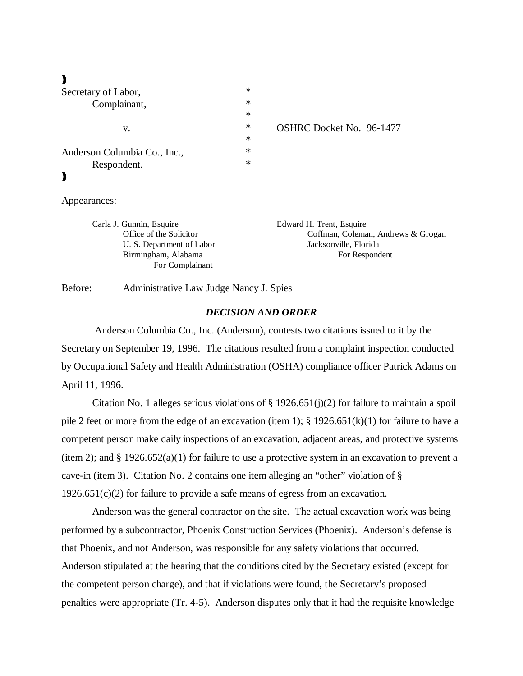# $\lambda$

| Secretary of Labor,          | $\ast$ |  |
|------------------------------|--------|--|
| Complainant,                 | $\ast$ |  |
|                              | $\ast$ |  |
| v.                           | $\ast$ |  |
|                              | $\ast$ |  |
| Anderson Columbia Co., Inc., | $\ast$ |  |
| Respondent.                  | $\ast$ |  |
|                              |        |  |
|                              |        |  |

IRC Docket No. 96-1477

#### Appearances:

| Carla J. Gunnin, Esquire  | Edward H. Trent, Esquire           |
|---------------------------|------------------------------------|
| Office of the Solicitor   | Coffman, Coleman, Andrews & Grogan |
| U. S. Department of Labor | Jacksonville, Florida              |
| Birmingham, Alabama       | For Respondent                     |
| For Complainant           |                                    |

Before: Administrative Law Judge Nancy J. Spies

# *DECISION AND ORDER*

 Anderson Columbia Co., Inc. (Anderson), contests two citations issued to it by the Secretary on September 19, 1996. The citations resulted from a complaint inspection conducted by Occupational Safety and Health Administration (OSHA) compliance officer Patrick Adams on April 11, 1996.

Citation No. 1 alleges serious violations of  $\S 1926.651(j)(2)$  for failure to maintain a spoil pile 2 feet or more from the edge of an excavation (item 1); § 1926.651(k)(1) for failure to have a competent person make daily inspections of an excavation, adjacent areas, and protective systems (item 2); and  $\S 1926.652(a)(1)$  for failure to use a protective system in an excavation to prevent a cave-in (item 3). Citation No. 2 contains one item alleging an "other" violation of §  $1926.651(c)(2)$  for failure to provide a safe means of egress from an excavation.

Anderson was the general contractor on the site. The actual excavation work was being performed by a subcontractor, Phoenix Construction Services (Phoenix). Anderson's defense is that Phoenix, and not Anderson, was responsible for any safety violations that occurred. Anderson stipulated at the hearing that the conditions cited by the Secretary existed (except for the competent person charge), and that if violations were found, the Secretary's proposed penalties were appropriate (Tr. 4-5). Anderson disputes only that it had the requisite knowledge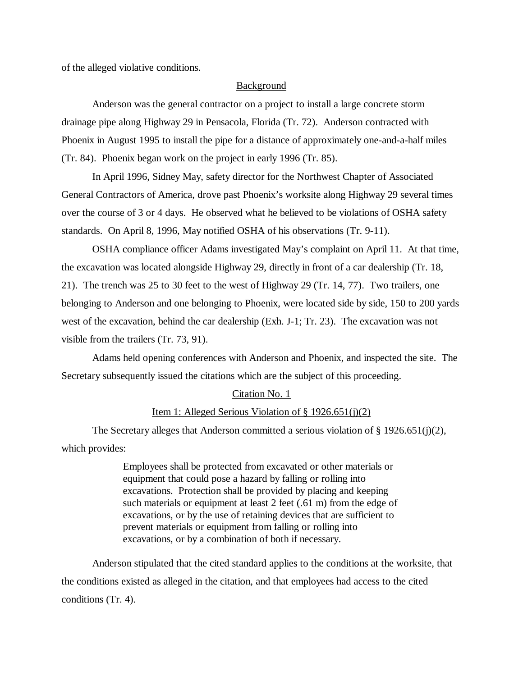of the alleged violative conditions.

#### Background

Anderson was the general contractor on a project to install a large concrete storm drainage pipe along Highway 29 in Pensacola, Florida (Tr. 72). Anderson contracted with Phoenix in August 1995 to install the pipe for a distance of approximately one-and-a-half miles (Tr. 84). Phoenix began work on the project in early 1996 (Tr. 85).

In April 1996, Sidney May, safety director for the Northwest Chapter of Associated General Contractors of America, drove past Phoenix's worksite along Highway 29 several times over the course of 3 or 4 days. He observed what he believed to be violations of OSHA safety standards. On April 8, 1996, May notified OSHA of his observations (Tr. 9-11).

OSHA compliance officer Adams investigated May's complaint on April 11. At that time, the excavation was located alongside Highway 29, directly in front of a car dealership (Tr. 18, 21). The trench was 25 to 30 feet to the west of Highway 29 (Tr. 14, 77). Two trailers, one belonging to Anderson and one belonging to Phoenix, were located side by side, 150 to 200 yards west of the excavation, behind the car dealership (Exh. J-1; Tr. 23). The excavation was not visible from the trailers (Tr. 73, 91).

Adams held opening conferences with Anderson and Phoenix, and inspected the site. The Secretary subsequently issued the citations which are the subject of this proceeding.

#### Citation No. 1

### Item 1: Alleged Serious Violation of § 1926.651(j)(2)

The Secretary alleges that Anderson committed a serious violation of § 1926.651(j)(2), which provides:

> Employees shall be protected from excavated or other materials or equipment that could pose a hazard by falling or rolling into excavations. Protection shall be provided by placing and keeping such materials or equipment at least 2 feet (.61 m) from the edge of excavations, or by the use of retaining devices that are sufficient to prevent materials or equipment from falling or rolling into excavations, or by a combination of both if necessary.

Anderson stipulated that the cited standard applies to the conditions at the worksite, that the conditions existed as alleged in the citation, and that employees had access to the cited conditions (Tr. 4).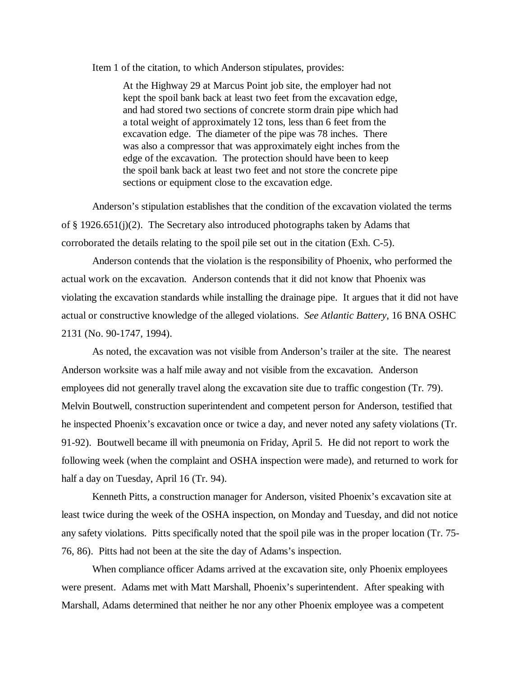Item 1 of the citation, to which Anderson stipulates, provides:

At the Highway 29 at Marcus Point job site, the employer had not kept the spoil bank back at least two feet from the excavation edge, and had stored two sections of concrete storm drain pipe which had a total weight of approximately 12 tons, less than 6 feet from the excavation edge. The diameter of the pipe was 78 inches. There was also a compressor that was approximately eight inches from the edge of the excavation. The protection should have been to keep the spoil bank back at least two feet and not store the concrete pipe sections or equipment close to the excavation edge.

Anderson's stipulation establishes that the condition of the excavation violated the terms of § 1926.651(j)(2). The Secretary also introduced photographs taken by Adams that corroborated the details relating to the spoil pile set out in the citation (Exh. C-5).

Anderson contends that the violation is the responsibility of Phoenix, who performed the actual work on the excavation. Anderson contends that it did not know that Phoenix was violating the excavation standards while installing the drainage pipe. It argues that it did not have actual or constructive knowledge of the alleged violations. *See Atlantic Battery,* 16 BNA OSHC 2131 (No. 90-1747, 1994).

As noted, the excavation was not visible from Anderson's trailer at the site. The nearest Anderson worksite was a half mile away and not visible from the excavation. Anderson employees did not generally travel along the excavation site due to traffic congestion (Tr. 79). Melvin Boutwell, construction superintendent and competent person for Anderson, testified that he inspected Phoenix's excavation once or twice a day, and never noted any safety violations (Tr. 91-92). Boutwell became ill with pneumonia on Friday, April 5. He did not report to work the following week (when the complaint and OSHA inspection were made), and returned to work for half a day on Tuesday, April 16 (Tr. 94).

Kenneth Pitts, a construction manager for Anderson, visited Phoenix's excavation site at least twice during the week of the OSHA inspection, on Monday and Tuesday, and did not notice any safety violations. Pitts specifically noted that the spoil pile was in the proper location (Tr. 75- 76, 86). Pitts had not been at the site the day of Adams's inspection.

When compliance officer Adams arrived at the excavation site, only Phoenix employees were present. Adams met with Matt Marshall, Phoenix's superintendent. After speaking with Marshall, Adams determined that neither he nor any other Phoenix employee was a competent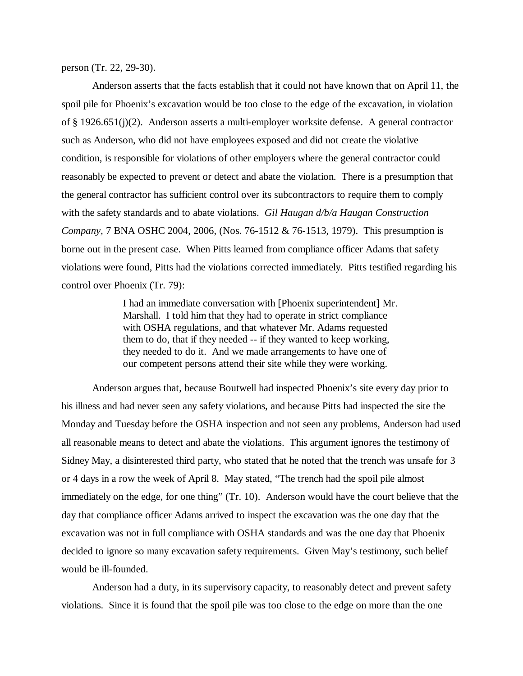person (Tr. 22, 29-30).

Anderson asserts that the facts establish that it could not have known that on April 11, the spoil pile for Phoenix's excavation would be too close to the edge of the excavation, in violation of § 1926.651(j)(2). Anderson asserts a multi-employer worksite defense. A general contractor such as Anderson, who did not have employees exposed and did not create the violative condition, is responsible for violations of other employers where the general contractor could reasonably be expected to prevent or detect and abate the violation. There is a presumption that the general contractor has sufficient control over its subcontractors to require them to comply with the safety standards and to abate violations. *Gil Haugan d/b/a Haugan Construction Company,* 7 BNA OSHC 2004, 2006, (Nos. 76-1512 & 76-1513, 1979). This presumption is borne out in the present case. When Pitts learned from compliance officer Adams that safety violations were found, Pitts had the violations corrected immediately. Pitts testified regarding his control over Phoenix (Tr. 79):

> I had an immediate conversation with [Phoenix superintendent] Mr. Marshall. I told him that they had to operate in strict compliance with OSHA regulations, and that whatever Mr. Adams requested them to do, that if they needed -- if they wanted to keep working, they needed to do it. And we made arrangements to have one of our competent persons attend their site while they were working.

Anderson argues that, because Boutwell had inspected Phoenix's site every day prior to his illness and had never seen any safety violations, and because Pitts had inspected the site the Monday and Tuesday before the OSHA inspection and not seen any problems, Anderson had used all reasonable means to detect and abate the violations. This argument ignores the testimony of Sidney May, a disinterested third party, who stated that he noted that the trench was unsafe for 3 or 4 days in a row the week of April 8. May stated, "The trench had the spoil pile almost immediately on the edge, for one thing" (Tr. 10). Anderson would have the court believe that the day that compliance officer Adams arrived to inspect the excavation was the one day that the excavation was not in full compliance with OSHA standards and was the one day that Phoenix decided to ignore so many excavation safety requirements. Given May's testimony, such belief would be ill-founded.

Anderson had a duty, in its supervisory capacity, to reasonably detect and prevent safety violations. Since it is found that the spoil pile was too close to the edge on more than the one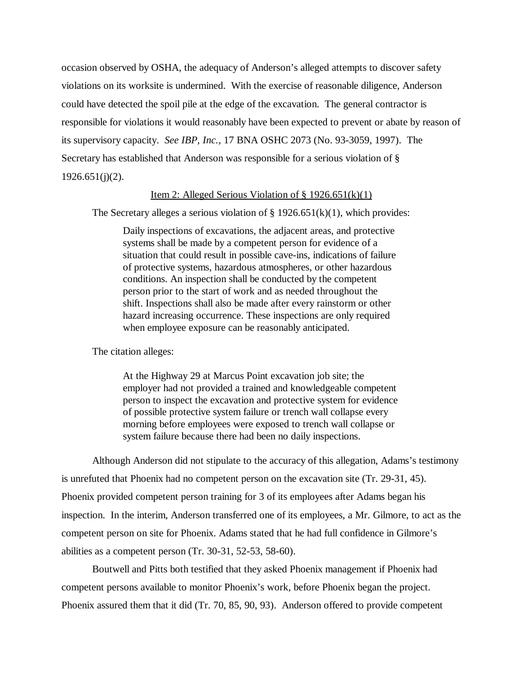occasion observed by OSHA, the adequacy of Anderson's alleged attempts to discover safety violations on its worksite is undermined. With the exercise of reasonable diligence, Anderson could have detected the spoil pile at the edge of the excavation. The general contractor is responsible for violations it would reasonably have been expected to prevent or abate by reason of its supervisory capacity. *See IBP, Inc.,* 17 BNA OSHC 2073 (No. 93-3059, 1997). The Secretary has established that Anderson was responsible for a serious violation of §  $1926.651(j)(2)$ .

# Item 2: Alleged Serious Violation of  $\S 1926.651(k)(1)$

The Secretary alleges a serious violation of  $\S 1926.651(k)(1)$ , which provides:

Daily inspections of excavations, the adjacent areas, and protective systems shall be made by a competent person for evidence of a situation that could result in possible cave-ins, indications of failure of protective systems, hazardous atmospheres, or other hazardous conditions. An inspection shall be conducted by the competent person prior to the start of work and as needed throughout the shift. Inspections shall also be made after every rainstorm or other hazard increasing occurrence. These inspections are only required when employee exposure can be reasonably anticipated.

The citation alleges:

At the Highway 29 at Marcus Point excavation job site; the employer had not provided a trained and knowledgeable competent person to inspect the excavation and protective system for evidence of possible protective system failure or trench wall collapse every morning before employees were exposed to trench wall collapse or system failure because there had been no daily inspections.

Although Anderson did not stipulate to the accuracy of this allegation, Adams's testimony is unrefuted that Phoenix had no competent person on the excavation site (Tr. 29-31, 45). Phoenix provided competent person training for 3 of its employees after Adams began his inspection. In the interim, Anderson transferred one of its employees, a Mr. Gilmore, to act as the competent person on site for Phoenix. Adams stated that he had full confidence in Gilmore's abilities as a competent person (Tr. 30-31, 52-53, 58-60).

Boutwell and Pitts both testified that they asked Phoenix management if Phoenix had competent persons available to monitor Phoenix's work, before Phoenix began the project. Phoenix assured them that it did (Tr. 70, 85, 90, 93). Anderson offered to provide competent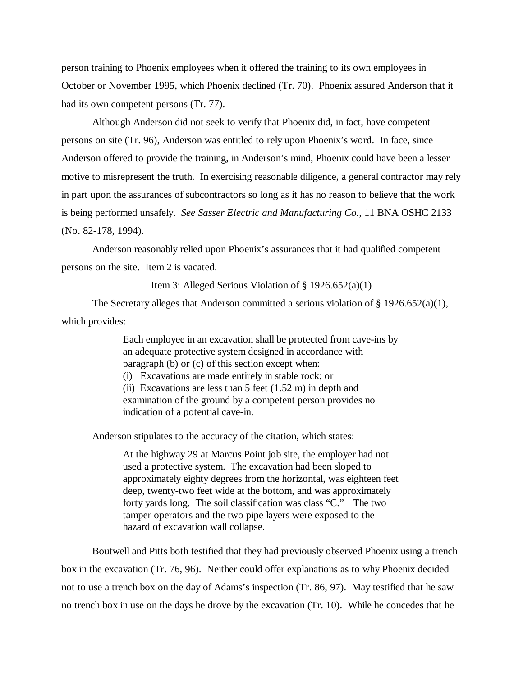person training to Phoenix employees when it offered the training to its own employees in October or November 1995, which Phoenix declined (Tr. 70). Phoenix assured Anderson that it had its own competent persons (Tr. 77).

Although Anderson did not seek to verify that Phoenix did, in fact, have competent persons on site (Tr. 96), Anderson was entitled to rely upon Phoenix's word. In face, since Anderson offered to provide the training, in Anderson's mind, Phoenix could have been a lesser motive to misrepresent the truth. In exercising reasonable diligence, a general contractor may rely in part upon the assurances of subcontractors so long as it has no reason to believe that the work is being performed unsafely. *See Sasser Electric and Manufacturing Co.,* 11 BNA OSHC 2133 (No. 82-178, 1994).

Anderson reasonably relied upon Phoenix's assurances that it had qualified competent persons on the site. Item 2 is vacated.

### Item 3: Alleged Serious Violation of  $\S 1926.652(a)(1)$

The Secretary alleges that Anderson committed a serious violation of  $\S 1926.652(a)(1)$ , which provides:

> Each employee in an excavation shall be protected from cave-ins by an adequate protective system designed in accordance with paragraph (b) or (c) of this section except when: (i) Excavations are made entirely in stable rock; or (ii) Excavations are less than  $5$  feet  $(1.52 \text{ m})$  in depth and examination of the ground by a competent person provides no indication of a potential cave-in.

Anderson stipulates to the accuracy of the citation, which states:

At the highway 29 at Marcus Point job site, the employer had not used a protective system. The excavation had been sloped to approximately eighty degrees from the horizontal, was eighteen feet deep, twenty-two feet wide at the bottom, and was approximately forty yards long. The soil classification was class "C." The two tamper operators and the two pipe layers were exposed to the hazard of excavation wall collapse.

Boutwell and Pitts both testified that they had previously observed Phoenix using a trench box in the excavation (Tr. 76, 96). Neither could offer explanations as to why Phoenix decided not to use a trench box on the day of Adams's inspection (Tr. 86, 97). May testified that he saw no trench box in use on the days he drove by the excavation (Tr. 10). While he concedes that he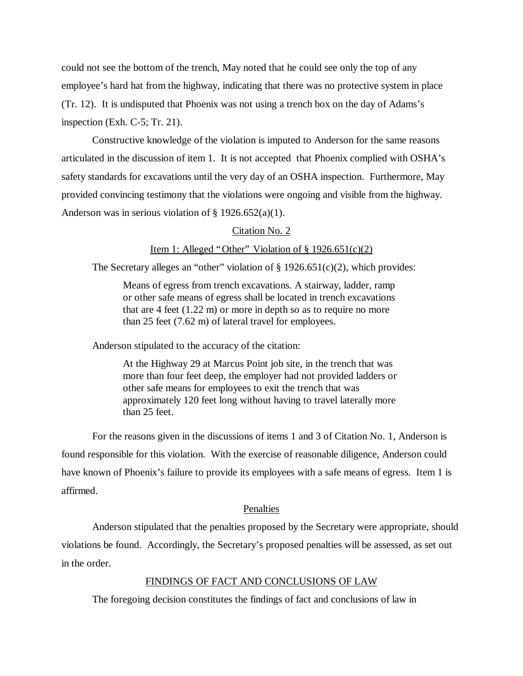could not see the bottom of the trench, May noted that he could see only the top of any employee's hard hat from the highway, indicating that there was no protective system in place (Tr. 12). It is undisputed that Phoenix was not using a trench box on the day of Adams's inspection (Exh. C-5; Tr. 21).

Constructive knowledge of the violation is imputed to Anderson for the same reasons articulated in the discussion of item 1. It is not accepted that Phoenix complied with OSHA's safety standards for excavations until the very day of an OSHA inspection. Furthermore, May provided convincing testimony that the violations were ongoing and visible from the highway. Anderson was in serious violation of  $\S$  1926.652(a)(1).

# Citation No. 2

# Item 1: Alleged "Other" Violation of  $\S 1926.651(c)(2)$

The Secretary alleges an "other" violation of  $\S$  1926.651(c)(2), which provides:

Means of egress from trench excavations. A stairway, ladder, ramp or other safe means of egress shall be located in trench excavations that are 4 feet (1.22 m) or more in depth so as to require no more than 25 feet (7.62 m) of lateral travel for employees.

Anderson stipulated to the accuracy of the citation:

At the Highway 29 at Marcus Point job site, in the trench that was more than four feet deep, the employer had not provided ladders or other safe means for employees to exit the trench that was approximately 120 feet long without having to travel laterally more than 25 feet.

For the reasons given in the discussions of items 1 and 3 of Citation No. 1, Anderson is found responsible for this violation. With the exercise of reasonable diligence, Anderson could have known of Phoenix's failure to provide its employees with a safe means of egress. Item 1 is affirmed.

#### Penalties

Anderson stipulated that the penalties proposed by the Secretary were appropriate, should violations be found. Accordingly, the Secretary's proposed penalties will be assessed, as set out in the order.

#### FINDINGS OF FACT AND CONCLUSIONS OF LAW

The foregoing decision constitutes the findings of fact and conclusions of law in